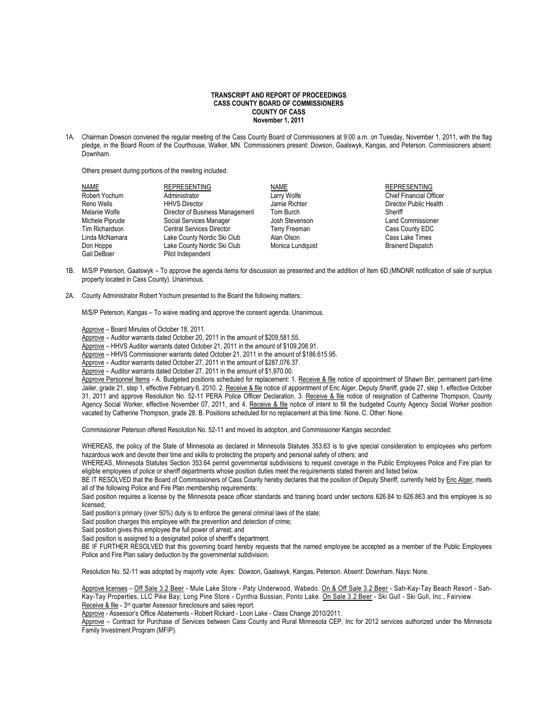## **TRANSCRIPT AND REPORT OF PROCEEDINGS CASS COUNTY BOARD OF COMMISSIONERS COUNTY OF CASS November 1, 2011**

1A. Chairman Dowson convened the regular meeting of the Cass County Board of Commissioners at 9:00 a.m. on Tuesday, November 1, 2011, with the flag pledge, in the Board Room of the Courthouse, Walker, MN. Commissioners present: Dowson, Gaalswyk, Kangas, and Peterson. Commissioners absent: Downham.

Others present during portions of the meeting included:

| <b>NAME</b>     | <b>REPRESENTING</b>              | NAME             | <b>REPRESENTING</b>            |
|-----------------|----------------------------------|------------------|--------------------------------|
| Robert Yochum   | Administrator                    | Larry Wolfe      | <b>Chief Financial Officer</b> |
| Reno Wells      | <b>HHVS Director</b>             | Jamie Richter    | Director Public Health         |
| Melanie Wolfe   | Director of Business Management  | Tom Burch        | Sheriff                        |
| Michele Piprude | Social Services Manager          | Josh Stevenson   | <b>Land Commissioner</b>       |
| Tim Richardson  | <b>Central Services Director</b> | Terry Freeman    | Cass County EDC                |
| Linda McNamara  | Lake County Nordic Ski Club      | Alan Olson       | Cass Lake Times                |
| Don Hoppe       | Lake County Nordic Ski Club      | Monica Lundquist | <b>Brainerd Dispatch</b>       |
| Gail DeBoer     | Pilot Independent                |                  |                                |

- 1B. M/S/P Peterson, Gaalswyk To approve the agenda items for discussion as presented and the addition of Item 6D.(MNDNR notification of sale of surplus property located in Cass County). Unanimous.
- 2A. County Administrator Robert Yochum presented to the Board the following matters:

M/S/P Peterson, Kangas – To waive reading and approve the consent agenda. Unanimous.

Approve – Board Minutes of October 18, 2011.

Approve – Auditor warrants dated October 20, 2011 in the amount of \$209,581.55.

Approve – HHVS Auditor warrants dated October 21, 2011 in the amount of \$109,208.91.

Approve – HHVS Commissioner warrants dated October 21, 2011 in the amount of \$186.615.95.

Approve – Auditor warrants dated October 27, 2011 in the amount of \$287,076.37.

Approve – Auditor warrants dated October 27, 2011 in the amount of \$1,970.00.

Approve Personnel Items - A. Budgeted positions scheduled for replacement: 1. Receive & file notice of appointment of Shawn Birr, permanent part-time Jailer, grade 21, step 1, effective February 6, 2010. 2. Receive & file notice of appointment of Eric Alger, Deputy Sheriff, grade 27, step 1, effective October 31, 2011 and approve Resolution No. 52-11 PERA Police Officer Declaration, 3. Receive & file notice of resignation of Catherine Thompson, County Agency Social Worker, effective November 07, 2011, and 4. Receive & file notice of intent to fill the budgeted County Agency Social Worker position vacated by Catherine Thompson, grade 28. B. Positions scheduled for no replacement at this time: None. C. Other: None.

Commissioner Peterson offered Resolution No. 52-11 and moved its adoption, and Commissioner Kangas seconded:

WHEREAS, the policy of the State of Minnesota as declared in Minnesota Statutes 353.63 is to give special consideration to employees who perform hazardous work and devote their time and skills to protecting the property and personal safety of others; and

WHEREAS, Minnesota Statutes Section 353.64 permit governmental subdivisions to request coverage in the Public Employees Police and Fire plan for eligible employees of police or sheriff departments whose position duties meet the requirements stated therein and listed below.

BE IT RESOLVED that the Board of Commissioners of Cass County hereby declares that the position of Deputy Sheriff, currently held by Eric Alger, meets all of the following Police and Fire Plan membership requirements:

Said position requires a license by the Minnesota peace officer standards and training board under sections 626.84 to 626.863 and this employee is so licensed;

Said position's primary (over 50%) duty is to enforce the general criminal laws of the state;

Said position charges this employee with the prevention and detection of crime;

Said position gives this employee the full power of arrest; and

Said position is assigned to a designated police of sheriff's department.

BE IF FURTHER RESOLVED that this governing board hereby requests that the named employee be accepted as a member of the Public Employees Police and Fire Plan salary deduction by the governmental subdivision.

Resolution No. 52-11 was adopted by majority vote: Ayes: Dowson, Gaalswyk, Kangas, Peterson. Absent: Downham. Nays: None.

Approve licenses - Off Sale 3.2 Beer - Mule Lake Store - Paty Underwood, Wabedo. On & Off Sale 3.2 Beer - Sah-Kay-Tay Beach Resort - Sah-Kay-Tay Properties, LLC Pike Bay; Long Pine Store - Cynthia Bussian, Ponto Lake. On Sale 3.2 Beer - Ski Gull - Ski Gull, Inc., Fairview. Receive & file - 3<sup>rd</sup> quarter Assessor foreclosure and sales report.

Approve - Assessor's Office Abatements - Robert Rickard - Loon Lake - Class Change 2010/2011.

Approve - Contract for Purchase of Services between Cass County and Rural Minnesota CEP, Inc for 2012 services authorized under the Minnesota Family Investment Program (MFIP).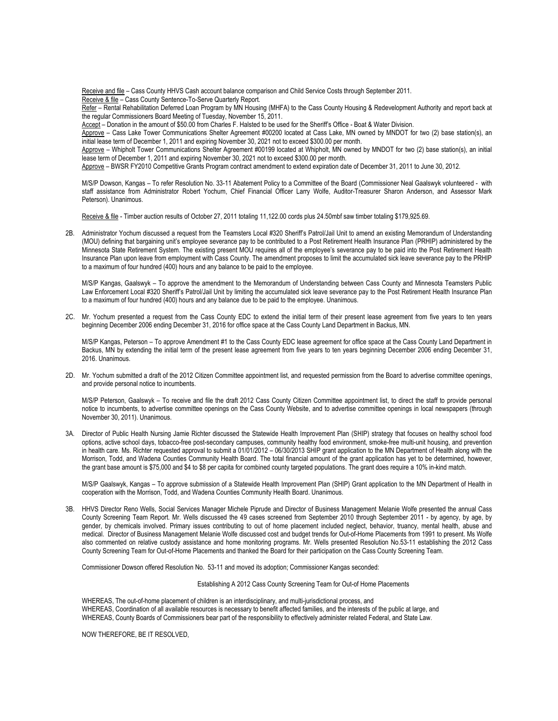Receive and file - Cass County HHVS Cash account balance comparison and Child Service Costs through September 2011. Receive & file – Cass County Sentence-To-Serve Quarterly Report.

Refer - Rental Rehabilitation Deferred Loan Program by MN Housing (MHFA) to the Cass County Housing & Redevelopment Authority and report back at the regular Commissioners Board Meeting of Tuesday, November 15, 2011.

Accept – Donation in the amount of \$50.00 from Charles F. Halsted to be used for the Sheriff's Office - Boat & Water Division.

Approve – Cass Lake Tower Communications Shelter Agreement #00200 located at Cass Lake, MN owned by MNDOT for two (2) base station(s), an initial lease term of December 1, 2011 and expiring November 30, 2021 not to exceed \$300.00 per month.

Approve – Whipholt Tower Communications Shelter Agreement #00199 located at Whipholt, MN owned by MNDOT for two (2) base station(s), an initial lease term of December 1, 2011 and expiring November 30, 2021 not to exceed \$300.00 per month.

Approve – BWSR FY2010 Competitive Grants Program contract amendment to extend expiration date of December 31, 2011 to June 30, 2012.

M/S/P Dowson, Kangas – To refer Resolution No. 33-11 Abatement Policy to a Committee of the Board (Commissioner Neal Gaalswyk volunteered - with staff assistance from Administrator Robert Yochum, Chief Financial Officer Larry Wolfe, Auditor-Treasurer Sharon Anderson, and Assessor Mark Peterson). Unanimous.

Receive & file - Timber auction results of October 27, 2011 totaling 11,122.00 cords plus 24.50mbf saw timber totaling \$179,925.69.

2B. Administrator Yochum discussed a request from the Teamsters Local #320 Sheriff's Patrol/Jail Unit to amend an existing Memorandum of Understanding (MOU) defining that bargaining unit's employee severance pay to be contributed to a Post Retirement Health Insurance Plan (PRHIP) administered by the Minnesota State Retirement System. The existing present MOU requires all of the employee's severance pay to be paid into the Post Retirement Health Insurance Plan upon leave from employment with Cass County. The amendment proposes to limit the accumulated sick leave severance pay to the PRHIP to a maximum of four hundred (400) hours and any balance to be paid to the employee.

M/S/P Kangas, Gaalswyk – To approve the amendment to the Memorandum of Understanding between Cass County and Minnesota Teamsters Public Law Enforcement Local #320 Sheriff's Patrol/Jail Unit by limiting the accumulated sick leave severance pay to the Post Retirement Health Insurance Plan to a maximum of four hundred (400) hours and any balance due to be paid to the employee. Unanimous.

2C. Mr. Yochum presented a request from the Cass County EDC to extend the initial term of their present lease agreement from five years to ten years beginning December 2006 ending December 31, 2016 for office space at the Cass County Land Department in Backus, MN.

M/S/P Kangas, Peterson – To approve Amendment #1 to the Cass County EDC lease agreement for office space at the Cass County Land Department in Backus, MN by extending the initial term of the present lease agreement from five years to ten years beginning December 2006 ending December 31, 2016. Unanimous.

2D. Mr. Yochum submitted a draft of the 2012 Citizen Committee appointment list, and requested permission from the Board to advertise committee openings, and provide personal notice to incumbents.

M/S/P Peterson, Gaalswyk – To receive and file the draft 2012 Cass County Citizen Committee appointment list, to direct the staff to provide personal notice to incumbents, to advertise committee openings on the Cass County Website, and to advertise committee openings in local newspapers (through November 30, 2011). Unanimous.

3A. Director of Public Health Nursing Jamie Richter discussed the Statewide Health Improvement Plan (SHIP) strategy that focuses on healthy school food options, active school days, tobacco-free post-secondary campuses, community healthy food environment, smoke-free multi-unit housing, and prevention in health care. Ms. Richter requested approval to submit a 01/01/2012 – 06/30/2013 SHIP grant application to the MN Department of Health along with the Morrison, Todd, and Wadena Counties Community Health Board. The total financial amount of the grant application has yet to be determined, however, the grant base amount is \$75,000 and \$4 to \$8 per capita for combined county targeted populations. The grant does require a 10% in-kind match.

M/S/P Gaalswyk, Kangas – To approve submission of a Statewide Health Improvement Plan (SHIP) Grant application to the MN Department of Health in cooperation with the Morrison, Todd, and Wadena Counties Community Health Board. Unanimous.

3B. HHVS Director Reno Wells, Social Services Manager Michele Piprude and Director of Business Management Melanie Wolfe presented the annual Cass County Screening Team Report. Mr. Wells discussed the 49 cases screened from September 2010 through September 2011 - by agency, by age, by gender, by chemicals involved. Primary issues contributing to out of home placement included neglect, behavior, truancy, mental health, abuse and medical. Director of Business Management Melanie Wolfe discussed cost and budget trends for Out-of-Home Placements from 1991 to present. Ms Wolfe also commented on relative custody assistance and home monitoring programs. Mr. Wells presented Resolution No.53-11 establishing the 2012 Cass County Screening Team for Out-of-Home Placements and thanked the Board for their participation on the Cass County Screening Team.

Commissioner Dowson offered Resolution No. 53-11 and moved its adoption; Commissioner Kangas seconded:

Establishing A 2012 Cass County Screening Team for Out-of Home Placements

WHEREAS, The out-of-home placement of children is an interdisciplinary, and multi-jurisdictional process, and WHEREAS, Coordination of all available resources is necessary to benefit affected families, and the interests of the public at large, and WHEREAS, County Boards of Commissioners bear part of the responsibility to effectively administer related Federal, and State Law.

NOW THEREFORE, BE IT RESOLVED,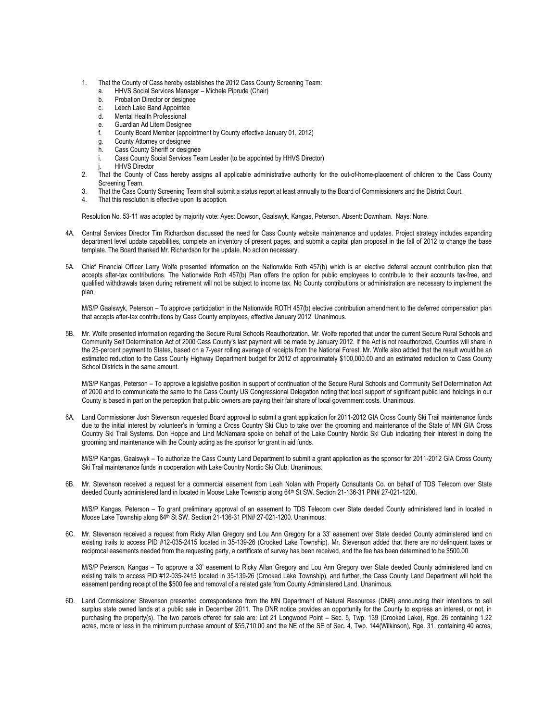- 1. That the County of Cass hereby establishes the 2012 Cass County Screening Team:
	- HHVS Social Services Manager Michele Piprude (Chair)
	- b. Probation Director or designee
	- c. Leech Lake Band Appointee
	- d. Mental Health Professional
	- e. Guardian Ad Litem Designee
	- f. County Board Member (appointment by County effective January 01, 2012)
	- g. County Attorney or designee
	- h. Cass County Sheriff or designee
	- Cass County Social Services Team Leader (to be appointed by HHVS Director)
	- **HHVS Director**
- 2. That the County of Cass hereby assigns all applicable administrative authority for the out-of-home-placement of children to the Cass County Screening Team.
- 3. That the Cass County Screening Team shall submit a status report at least annually to the Board of Commissioners and the District Court.
- That this resolution is effective upon its adoption.

Resolution No. 53-11 was adopted by majority vote: Ayes: Dowson, Gaalswyk, Kangas, Peterson. Absent: Downham. Nays: None.

- 4A. Central Services Director Tim Richardson discussed the need for Cass County website maintenance and updates. Project strategy includes expanding department level update capabilities, complete an inventory of present pages, and submit a capital plan proposal in the fall of 2012 to change the base template. The Board thanked Mr. Richardson for the update. No action necessary.
- 5A. Chief Financial Officer Larry Wolfe presented information on the Nationwide Roth 457(b) which is an elective deferral account contribution plan that accepts after-tax contributions. The Nationwide Roth 457(b) Plan offers the option for public employees to contribute to their accounts tax-free, and qualified withdrawals taken during retirement will not be subject to income tax. No County contributions or administration are necessary to implement the plan.

M/S/P Gaalswyk, Peterson – To approve participation in the Nationwide ROTH 457(b) elective contribution amendment to the deferred compensation plan that accepts after-tax contributions by Cass County employees, effective January 2012. Unanimous.

5B. Mr. Wolfe presented information regarding the Secure Rural Schools Reauthorization. Mr. Wolfe reported that under the current Secure Rural Schools and Community Self Determination Act of 2000 Cass County's last payment will be made by January 2012. If the Act is not reauthorized, Counties will share in the 25-percent payment to States, based on a 7-year rolling average of receipts from the National Forest. Mr. Wolfe also added that the result would be an estimated reduction to the Cass County Highway Department budget for 2012 of approximately \$100,000.00 and an estimated reduction to Cass County School Districts in the same amount.

M/S/P Kangas, Peterson – To approve a legislative position in support of continuation of the Secure Rural Schools and Community Self Determination Act of 2000 and to communicate the same to the Cass County US Congressional Delegation noting that local support of significant public land holdings in our County is based in part on the perception that public owners are paying their fair share of local government costs. Unanimous.

6A. Land Commissioner Josh Stevenson requested Board approval to submit a grant application for 2011-2012 GIA Cross County Ski Trail maintenance funds due to the initial interest by volunteer's in forming a Cross Country Ski Club to take over the grooming and maintenance of the State of MN GIA Cross Country Ski Trail Systems. Don Hoppe and Lind McNamara spoke on behalf of the Lake Country Nordic Ski Club indicating their interest in doing the grooming and maintenance with the County acting as the sponsor for grant in aid funds.

M/S/P Kangas, Gaalswyk – To authorize the Cass County Land Department to submit a grant application as the sponsor for 2011-2012 GIA Cross County Ski Trail maintenance funds in cooperation with Lake Country Nordic Ski Club. Unanimous.

6B. Mr. Stevenson received a request for a commercial easement from Leah Nolan with Property Consultants Co. on behalf of TDS Telecom over State deeded County administered land in located in Moose Lake Township along 64<sup>th</sup> St SW. Section 21-136-31 PIN# 27-021-1200.

M/S/P Kangas, Peterson – To grant preliminary approval of an easement to TDS Telecom over State deeded County administered land in located in Moose Lake Township along 64<sup>th</sup> St SW. Section 21-136-31 PIN# 27-021-1200. Unanimous.

6C. Mr. Stevenson received a request from Ricky Allan Gregory and Lou Ann Gregory for a 33' easement over State deeded County administered land on existing trails to access PID #12-035-2415 located in 35-139-26 (Crooked Lake Township). Mr. Stevenson added that there are no delinquent taxes or reciprocal easements needed from the requesting party, a certificate of survey has been received, and the fee has been determined to be \$500.00

M/S/P Peterson, Kangas – To approve a 33' easement to Ricky Allan Gregory and Lou Ann Gregory over State deeded County administered land on existing trails to access PID #12-035-2415 located in 35-139-26 (Crooked Lake Township), and further, the Cass County Land Department will hold the easement pending receipt of the \$500 fee and removal of a related gate from County Administered Land. Unanimous.

6D. Land Commissioner Stevenson presented correspondence from the MN Department of Natural Resources (DNR) announcing their intentions to sell surplus state owned lands at a public sale in December 2011. The DNR notice provides an opportunity for the County to express an interest, or not, in purchasing the property(s). The two parcels offered for sale are: Lot 21 Longwood Point – Sec. 5, Twp. 139 (Crooked Lake), Rge. 26 containing 1.22 acres, more or less in the minimum purchase amount of \$55,710.00 and the NE of the SE of Sec. 4, Twp. 144(Wilkinson), Rge. 31, containing 40 acres,